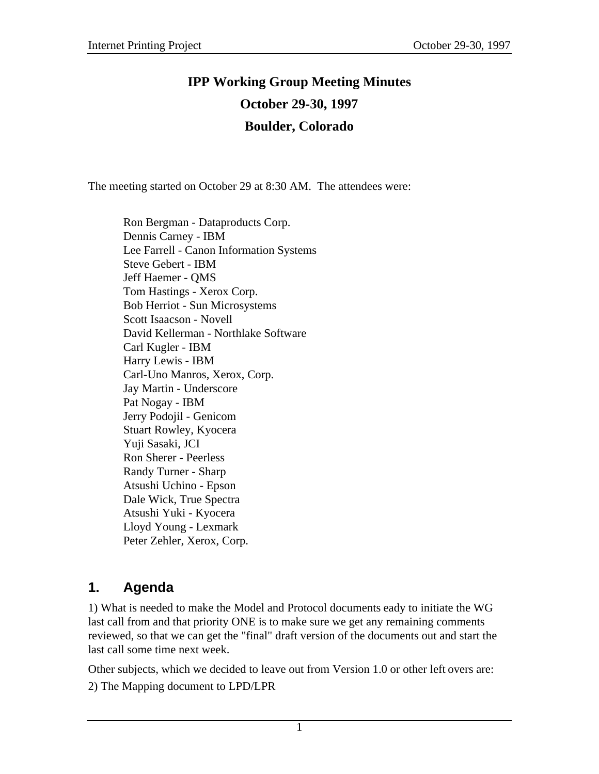# **IPP Working Group Meeting Minutes October 29-30, 1997 Boulder, Colorado**

The meeting started on October 29 at 8:30 AM. The attendees were:

Ron Bergman - Dataproducts Corp. Dennis Carney - IBM Lee Farrell - Canon Information Systems Steve Gebert - IBM Jeff Haemer - QMS Tom Hastings - Xerox Corp. Bob Herriot - Sun Microsystems Scott Isaacson - Novell David Kellerman - Northlake Software Carl Kugler - IBM Harry Lewis - IBM Carl-Uno Manros, Xerox, Corp. Jay Martin - Underscore Pat Nogay - IBM Jerry Podojil - Genicom Stuart Rowley, Kyocera Yuji Sasaki, JCI Ron Sherer - Peerless Randy Turner - Sharp Atsushi Uchino - Epson Dale Wick, True Spectra Atsushi Yuki - Kyocera Lloyd Young - Lexmark Peter Zehler, Xerox, Corp.

# **1. Agenda**

1) What is needed to make the Model and Protocol documents eady to initiate the WG last call from and that priority ONE is to make sure we get any remaining comments reviewed, so that we can get the "final" draft version of the documents out and start the last call some time next week.

Other subjects, which we decided to leave out from Version 1.0 or other left overs are: 2) The Mapping document to LPD/LPR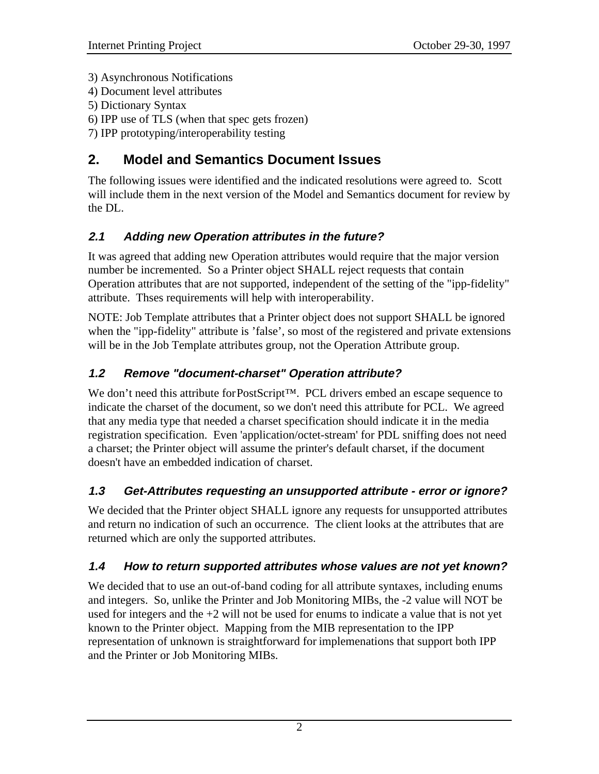- 3) Asynchronous Notifications
- 4) Document level attributes
- 5) Dictionary Syntax
- 6) IPP use of TLS (when that spec gets frozen)
- 7) IPP prototyping/interoperability testing

# **2. Model and Semantics Document Issues**

The following issues were identified and the indicated resolutions were agreed to. Scott will include them in the next version of the Model and Semantics document for review by the DL.

## **2.1 Adding new Operation attributes in the future?**

It was agreed that adding new Operation attributes would require that the major version number be incremented. So a Printer object SHALL reject requests that contain Operation attributes that are not supported, independent of the setting of the "ipp-fidelity" attribute. Thses requirements will help with interoperability.

NOTE: Job Template attributes that a Printer object does not support SHALL be ignored when the "ipp-fidelity" attribute is 'false', so most of the registered and private extensions will be in the Job Template attributes group, not the Operation Attribute group.

# **1.2 Remove "document-charset" Operation attribute?**

We don't need this attribute for PostScript™. PCL drivers embed an escape sequence to indicate the charset of the document, so we don't need this attribute for PCL. We agreed that any media type that needed a charset specification should indicate it in the media registration specification. Even 'application/octet-stream' for PDL sniffing does not need a charset; the Printer object will assume the printer's default charset, if the document doesn't have an embedded indication of charset.

### **1.3 Get-Attributes requesting an unsupported attribute - error or ignore?**

We decided that the Printer object SHALL ignore any requests for unsupported attributes and return no indication of such an occurrence. The client looks at the attributes that are returned which are only the supported attributes.

### **1.4 How to return supported attributes whose values are not yet known?**

We decided that to use an out-of-band coding for all attribute syntaxes, including enums and integers. So, unlike the Printer and Job Monitoring MIBs, the -2 value will NOT be used for integers and the  $+2$  will not be used for enums to indicate a value that is not yet known to the Printer object. Mapping from the MIB representation to the IPP representation of unknown is straightforward for implemenations that support both IPP and the Printer or Job Monitoring MIBs.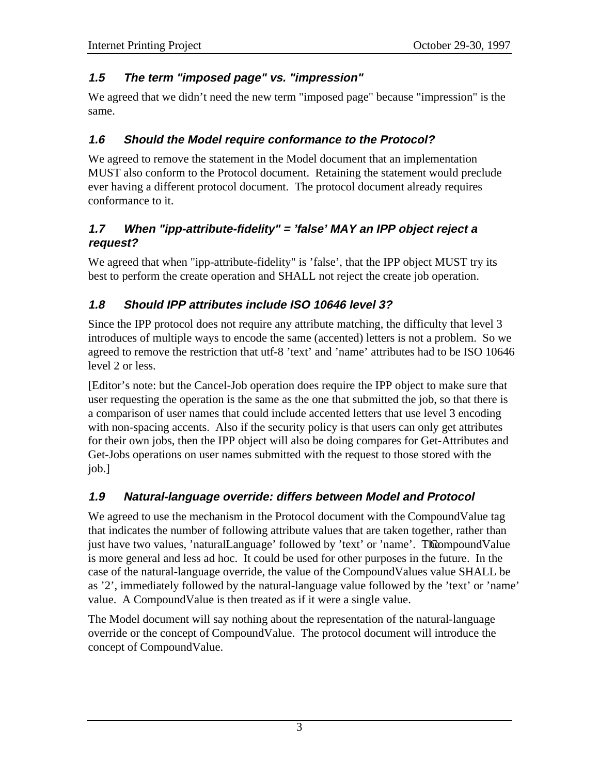#### **1.5 The term "imposed page" vs. "impression"**

We agreed that we didn't need the new term "imposed page" because "impression" is the same.

#### **1.6 Should the Model require conformance to the Protocol?**

We agreed to remove the statement in the Model document that an implementation MUST also conform to the Protocol document. Retaining the statement would preclude ever having a different protocol document. The protocol document already requires conformance to it.

#### **1.7 When "ipp-attribute-fidelity" = 'false' MAY an IPP object reject a request?**

We agreed that when "ipp-attribute-fidelity" is 'false', that the IPP object MUST try its best to perform the create operation and SHALL not reject the create job operation.

### **1.8 Should IPP attributes include ISO 10646 level 3?**

Since the IPP protocol does not require any attribute matching, the difficulty that level 3 introduces of multiple ways to encode the same (accented) letters is not a problem. So we agreed to remove the restriction that utf-8 'text' and 'name' attributes had to be ISO 10646 level 2 or less.

[Editor's note: but the Cancel-Job operation does require the IPP object to make sure that user requesting the operation is the same as the one that submitted the job, so that there is a comparison of user names that could include accented letters that use level 3 encoding with non-spacing accents. Also if the security policy is that users can only get attributes for their own jobs, then the IPP object will also be doing compares for Get-Attributes and Get-Jobs operations on user names submitted with the request to those stored with the job.]

### **1.9 Natural-language override: differs between Model and Protocol**

We agreed to use the mechanism in the Protocol document with the CompoundValue tag that indicates the number of following attribute values that are taken together, rather than just have two values, 'naturalLanguage' followed by 'text' or 'name'. The Compound Value is more general and less ad hoc. It could be used for other purposes in the future. In the case of the natural-language override, the value of the CompoundValues value SHALL be as '2', immediately followed by the natural-language value followed by the 'text' or 'name' value. A CompoundValue is then treated as if it were a single value.

The Model document will say nothing about the representation of the natural-language override or the concept of CompoundValue. The protocol document will introduce the concept of CompoundValue.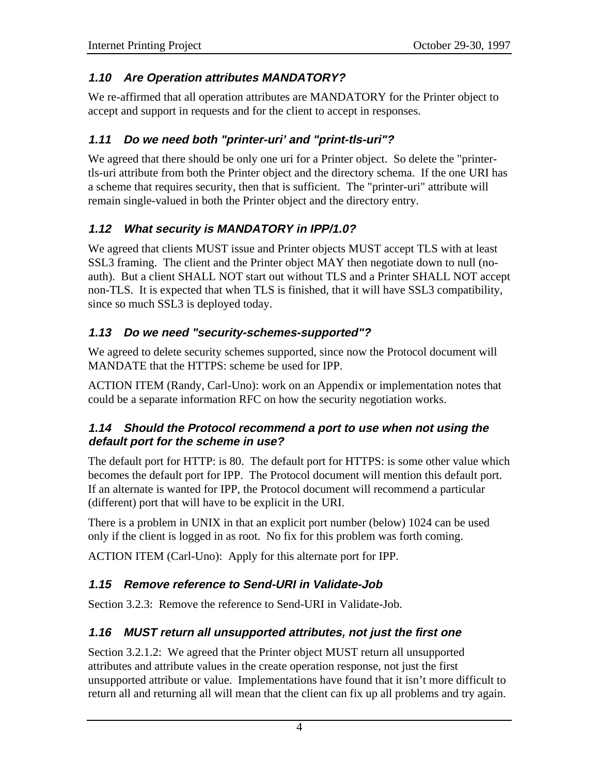#### **1.10 Are Operation attributes MANDATORY?**

We re-affirmed that all operation attributes are MANDATORY for the Printer object to accept and support in requests and for the client to accept in responses.

### **1.11 Do we need both "printer-uri' and "print-tls-uri"?**

We agreed that there should be only one uri for a Printer object. So delete the "printertls-uri attribute from both the Printer object and the directory schema. If the one URI has a scheme that requires security, then that is sufficient. The "printer-uri" attribute will remain single-valued in both the Printer object and the directory entry.

### **1.12 What security is MANDATORY in IPP/1.0?**

We agreed that clients MUST issue and Printer objects MUST accept TLS with at least SSL3 framing. The client and the Printer object MAY then negotiate down to null (noauth). But a client SHALL NOT start out without TLS and a Printer SHALL NOT accept non-TLS. It is expected that when TLS is finished, that it will have SSL3 compatibility, since so much SSL3 is deployed today.

### **1.13 Do we need "security-schemes-supported"?**

We agreed to delete security schemes supported, since now the Protocol document will MANDATE that the HTTPS: scheme be used for IPP.

ACTION ITEM (Randy, Carl-Uno): work on an Appendix or implementation notes that could be a separate information RFC on how the security negotiation works.

#### **1.14 Should the Protocol recommend a port to use when not using the default port for the scheme in use?**

The default port for HTTP: is 80. The default port for HTTPS: is some other value which becomes the default port for IPP. The Protocol document will mention this default port. If an alternate is wanted for IPP, the Protocol document will recommend a particular (different) port that will have to be explicit in the URI.

There is a problem in UNIX in that an explicit port number (below) 1024 can be used only if the client is logged in as root. No fix for this problem was forth coming.

ACTION ITEM (Carl-Uno): Apply for this alternate port for IPP.

### **1.15 Remove reference to Send-URI in Validate-Job**

Section 3.2.3: Remove the reference to Send-URI in Validate-Job.

### **1.16 MUST return all unsupported attributes, not just the first one**

Section 3.2.1.2: We agreed that the Printer object MUST return all unsupported attributes and attribute values in the create operation response, not just the first unsupported attribute or value. Implementations have found that it isn't more difficult to return all and returning all will mean that the client can fix up all problems and try again.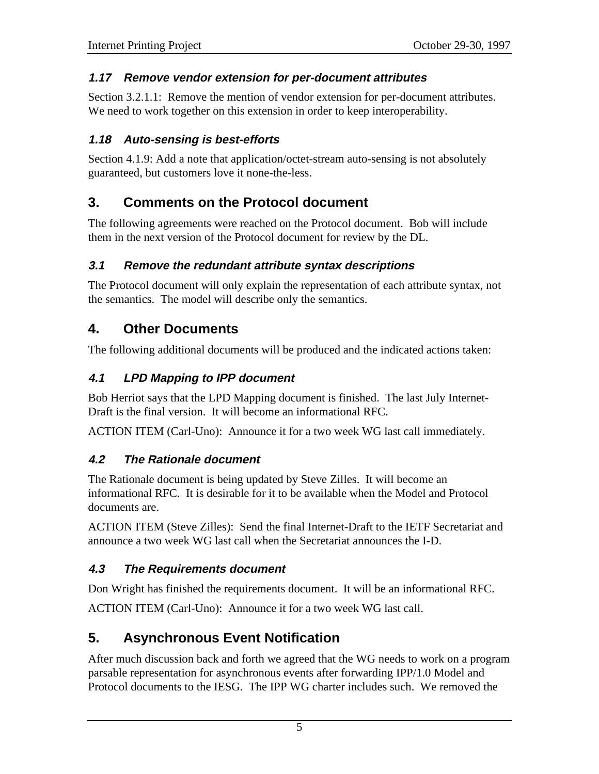#### **1.17 Remove vendor extension for per-document attributes**

Section 3.2.1.1: Remove the mention of vendor extension for per-document attributes. We need to work together on this extension in order to keep interoperability.

#### **1.18 Auto-sensing is best-efforts**

Section 4.1.9: Add a note that application/octet-stream auto-sensing is not absolutely guaranteed, but customers love it none-the-less.

## **3. Comments on the Protocol document**

The following agreements were reached on the Protocol document. Bob will include them in the next version of the Protocol document for review by the DL.

#### **3.1 Remove the redundant attribute syntax descriptions**

The Protocol document will only explain the representation of each attribute syntax, not the semantics. The model will describe only the semantics.

### **4. Other Documents**

The following additional documents will be produced and the indicated actions taken:

### **4.1 LPD Mapping to IPP document**

Bob Herriot says that the LPD Mapping document is finished. The last July Internet-Draft is the final version. It will become an informational RFC.

ACTION ITEM (Carl-Uno): Announce it for a two week WG last call immediately.

#### **4.2 The Rationale document**

The Rationale document is being updated by Steve Zilles. It will become an informational RFC. It is desirable for it to be available when the Model and Protocol documents are.

ACTION ITEM (Steve Zilles): Send the final Internet-Draft to the IETF Secretariat and announce a two week WG last call when the Secretariat announces the I-D.

#### **4.3 The Requirements document**

Don Wright has finished the requirements document. It will be an informational RFC.

ACTION ITEM (Carl-Uno): Announce it for a two week WG last call.

# **5. Asynchronous Event Notification**

After much discussion back and forth we agreed that the WG needs to work on a program parsable representation for asynchronous events after forwarding IPP/1.0 Model and Protocol documents to the IESG. The IPP WG charter includes such. We removed the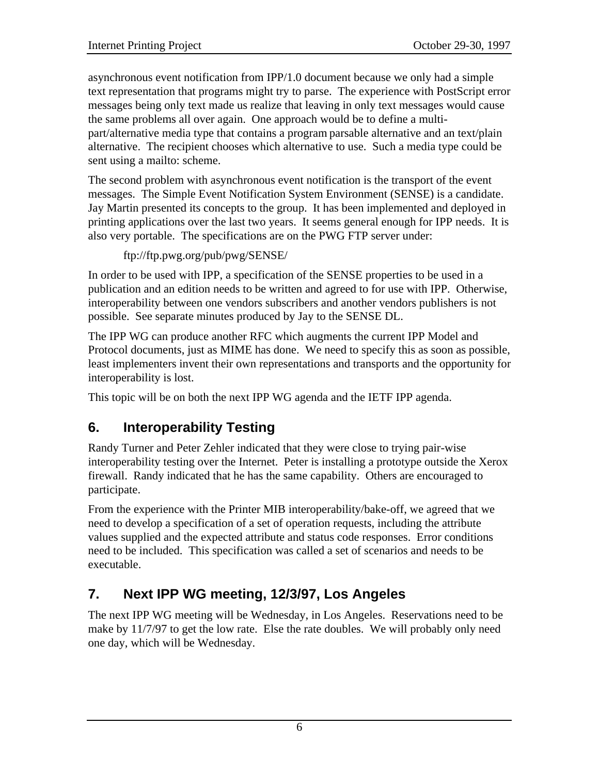asynchronous event notification from IPP/1.0 document because we only had a simple text representation that programs might try to parse. The experience with PostScript error messages being only text made us realize that leaving in only text messages would cause the same problems all over again. One approach would be to define a multipart/alternative media type that contains a program parsable alternative and an text/plain alternative. The recipient chooses which alternative to use. Such a media type could be sent using a mailto: scheme.

The second problem with asynchronous event notification is the transport of the event messages. The Simple Event Notification System Environment (SENSE) is a candidate. Jay Martin presented its concepts to the group. It has been implemented and deployed in printing applications over the last two years. It seems general enough for IPP needs. It is also very portable. The specifications are on the PWG FTP server under:

```
ftp://ftp.pwg.org/pub/pwg/SENSE/
```
In order to be used with IPP, a specification of the SENSE properties to be used in a publication and an edition needs to be written and agreed to for use with IPP. Otherwise, interoperability between one vendors subscribers and another vendors publishers is not possible. See separate minutes produced by Jay to the SENSE DL.

The IPP WG can produce another RFC which augments the current IPP Model and Protocol documents, just as MIME has done. We need to specify this as soon as possible, least implementers invent their own representations and transports and the opportunity for interoperability is lost.

This topic will be on both the next IPP WG agenda and the IETF IPP agenda.

# **6. Interoperability Testing**

Randy Turner and Peter Zehler indicated that they were close to trying pair-wise interoperability testing over the Internet. Peter is installing a prototype outside the Xerox firewall. Randy indicated that he has the same capability. Others are encouraged to participate.

From the experience with the Printer MIB interoperability/bake-off, we agreed that we need to develop a specification of a set of operation requests, including the attribute values supplied and the expected attribute and status code responses. Error conditions need to be included. This specification was called a set of scenarios and needs to be executable.

# **7. Next IPP WG meeting, 12/3/97, Los Angeles**

The next IPP WG meeting will be Wednesday, in Los Angeles. Reservations need to be make by 11/7/97 to get the low rate. Else the rate doubles. We will probably only need one day, which will be Wednesday.